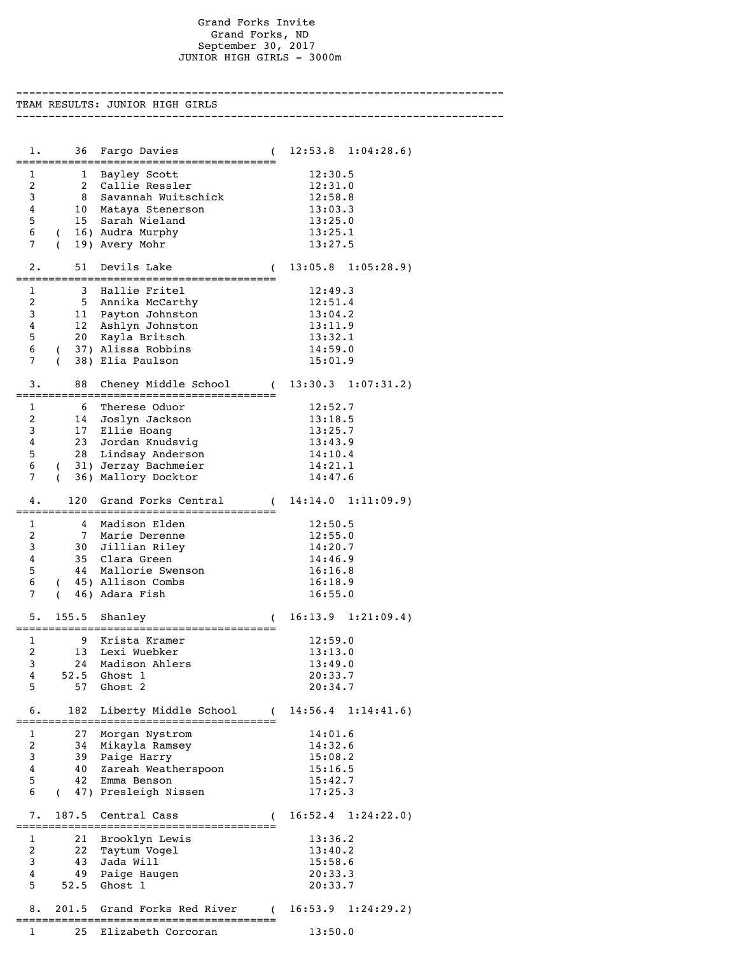## Grand Forks Invite Grand Forks, ND September 30, 2017 JUNIOR HIGH GIRLS - 3000m

--------------------------------------------------------------------------- TEAM RESULTS: JUNIOR HIGH GIRLS --------------------------------------------------------------------------- 1. 36 Fargo Davies ( 12:53.8 1:04:28.6) ======================================== 1 1 Bayley Scott 12:30.5 2 2 Callie Ressler 12:31.0 3 8 Savannah Wuitschick 12:58.8 4 10 Mataya Stenerson 13:03.3 5 15 Sarah Wieland 13:25.0 6 ( 16) Audra Murphy 13:25.1 7 ( 19) Avery Mohr 2. 51 Devils Lake ( 13:05.8 1:05:28.9) ======================================== 1 3 Hallie Fritel 12:49.3 2 5 Annika McCarthy 12:51.4 3 11 Payton Johnston 13:04.2 4 12 Ashlyn Johnston 13:11.9 5 20 Kayla Britsch 13:32.1 6 ( 37) Alissa Robbins 14:59.0 7 ( 38) Elia Paulson 15:01.9  $3. \qquad 88$  Cheney Middle School ( $13:30.3$  1:07:31.2) ======================================== 1 6 Therese Oduor 12:52.7 2 14 Joslyn Jackson 13:18.5 3 17 Ellie Hoang 13:25.7 4 23 Jordan Knudsvig 13:43.9 5 28 Lindsay Anderson 14:10.4 6 ( 31) Jerzay Bachmeier 14:21.1 7 ( 36) Mallory Docktor 14:47.6 4. 120 Grand Forks Central ( 14:14.0 1:11:09.9) ======================================== 1 4 Madison Elden 12:50.5 2 7 Marie Derenne 12:55.0 3 30 Jillian Riley 14:20.7 4 35 Clara Green 14:46.9 5 44 Mallorie Swenson 16:16.8 6 ( 45) Allison Combs 16:18.9 7 ( 46) Adara Fish 5. 155.5 Shanley ( 16:13.9 1:21:09.4) ======================================== 1 9 Krista Kramer 12:59.0 2 13 Lexi Wuebker 13:13.0 24 Madison Ahlers 13:49.0<br>52.5 Ghost 1 20:33.7 4 52.5 Ghost 1 20:33.7 5 57 Ghost 2 20:34.7 6. 182 Liberty Middle School ( 14:56.4 1:14:41.6) ======================================== 1 27 Morgan Nystrom 14:01.6<br>2 34 Mikayla Ramsey 14:32.6 2 34 Mikayla Ramsey 14:32.6 3 39 Paige Harry 15:08.2 4 40 Zareah Weatherspoon 15:16.5 5 42 Emma Benson 15:42.7 6 ( 47) Presleigh Nissen 17:25.3 7. 187.5 Central Cass ( 16:52.4 1:24:22.0) ======================================== 1 21 Brooklyn Lewis 13:36.2<br>2 22 Taytum Voqel 13:40.2

2 22 Taytum Vogel 13:40.2<br>3 43 Jada Will 15:58.6 3 43 Jada Will 15:58.6 4 49 Paige Haugen 20:33.3 5 52.5 Ghost 1 20:33.7 8. 201.5 Grand Forks Red River ( 16:53.9 1:24:29.2) ======================================== 1 25 Elizabeth Corcoran 13:50.0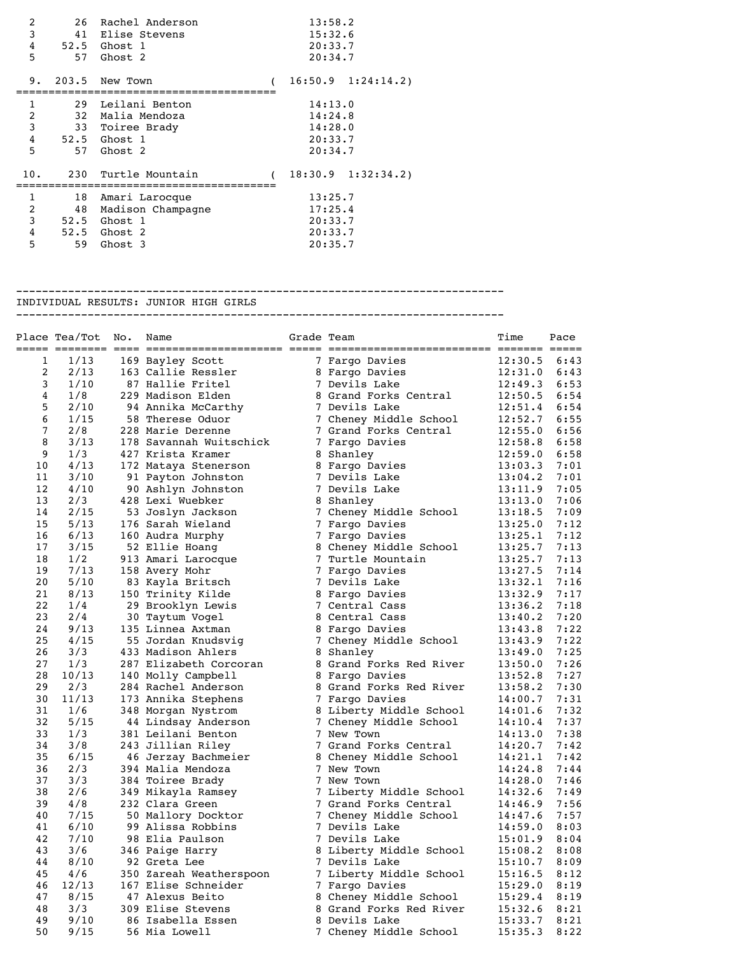| 2<br>3<br>4<br>5 | 26 | Rachel Anderson<br>41 Elise Stevens<br>52.5 Ghost 1<br>57 Ghost 2 |         | 13:58.2<br>15:32.6<br>20:33.7<br>20:34.7 |                       |  |
|------------------|----|-------------------------------------------------------------------|---------|------------------------------------------|-----------------------|--|
| 9.               |    | 203.5 New Town                                                    |         |                                          | $16:50.9$ $1:24:14.2$ |  |
| 1                |    | 29 Leilani Benton                                                 |         | 14:13.0                                  |                       |  |
| 2                |    | 32 Malia Mendoza                                                  |         | 14:24.8                                  |                       |  |
| 3                |    | 33 Toiree Brady                                                   |         | 14:28.0                                  |                       |  |
| 4                |    | 52.5 Ghost 1                                                      |         | 20:33.7                                  |                       |  |
| 5                |    | 57 Ghost 2                                                        |         | 20:34.7                                  |                       |  |
| 10.              |    | 230 Turtle Mountain                                               |         |                                          | $18:30.9$ $1:32:34.2$ |  |
| 1                |    | 18 Amari Larocque                                                 |         | 13:25.7                                  |                       |  |
| 2                |    | 48 Madison Champagne                                              |         | 17:25.4                                  |                       |  |
| 3                |    | 52.5 Ghost 1                                                      |         | 20:33.7                                  |                       |  |
| 4                |    | 52.5 Ghost 2                                                      | 20:33.7 |                                          |                       |  |
| 5                | 59 | Ghost 3                                                           |         | 20:35.7                                  |                       |  |

--------------------------------------------------------------------------- INDIVIDUAL RESULTS: JUNIOR HIGH GIRLS

---------------------------------------------------------------------------

|    | Place Tea/Tot | No. | Name                    | Grade Team |                         | Time           | Pace |
|----|---------------|-----|-------------------------|------------|-------------------------|----------------|------|
| 1  | 1/13          |     | 169 Bayley Scott        |            | 7 Fargo Davies          | 12:30.5        | 6:43 |
| 2  | 2/13          |     | 163 Callie Ressler      |            | 8 Fargo Davies          | 12:31.0        | 6:43 |
| 3  | 1/10          |     | 87 Hallie Fritel        |            | 7 Devils Lake           | 12:49.3        | 6:53 |
| 4  | 1/8           |     | 229 Madison Elden       |            | 8 Grand Forks Central   | 12:50.5        | 6:54 |
| 5  | 2/10          |     | 94 Annika McCarthy      |            | 7 Devils Lake           | 12:51.4        | 6:54 |
| 6  | 1/15          |     | 58 Therese Oduor        |            | 7 Cheney Middle School  | 12:52.7        | 6:55 |
| 7  | 2/8           |     | 228 Marie Derenne       |            | 7 Grand Forks Central   | 12:55.0        | 6:56 |
| 8  | 3/13          |     | 178 Savannah Wuitschick |            | 7 Fargo Davies          | 12:58.8        | 6:58 |
| 9  | 1/3           |     | 427 Krista Kramer       |            | 8 Shanley               | 12:59.0        | 6:58 |
| 10 | 4/13          |     | 172 Mataya Stenerson    |            | 8 Fargo Davies          | 13:03.3        | 7:01 |
| 11 | 3/10          |     | 91 Payton Johnston      |            | 7 Devils Lake           | 13:04.2        | 7:01 |
| 12 | 4/10          |     | 90 Ashlyn Johnston      |            | 7 Devils Lake           | 13:11.9        | 7:05 |
| 13 | 2/3           |     | 428 Lexi Wuebker        |            | 8 Shanley               | 13:13.0        | 7:06 |
| 14 | 2/15          |     | 53 Joslyn Jackson       |            | 7 Cheney Middle School  | 13:18.5        | 7:09 |
| 15 | 5/13          |     | 176 Sarah Wieland       |            | 7 Fargo Davies          | 13:25.0        | 7:12 |
| 16 | 6/13          |     | 160 Audra Murphy        |            | 7 Fargo Davies          | 13:25.1        | 7:12 |
| 17 | 3/15          |     | 52 Ellie Hoang          |            | 8 Cheney Middle School  | 13:25.7        | 7:13 |
| 18 | 1/2           |     | 913 Amari Larocque      |            | 7 Turtle Mountain       | 13:25.7        | 7:13 |
| 19 | 7/13          |     | 158 Avery Mohr          |            | 7 Fargo Davies          | 13:27.5        | 7:14 |
| 20 | $5/10$        |     | 83 Kayla Britsch        |            | 7 Devils Lake           | 13:32.1        | 7:16 |
| 21 | 8/13          |     | 150 Trinity Kilde       |            | 8 Fargo Davies          | 13:32.9        | 7:17 |
| 22 | 1/4           |     | 29 Brooklyn Lewis       |            | 7 Central Cass          | 13:36.2        | 7:18 |
| 23 | 2/4           |     | 30 Taytum Vogel         |            | 8 Central Cass          | 13:40.2        | 7:20 |
| 24 | 9/13          |     | 135 Linnea Axtman       |            | 8 Fargo Davies          | 13:43.8        | 7:22 |
| 25 | 4/15          |     | 55 Jordan Knudsvig      |            | 7 Cheney Middle School  | 13:43.9        | 7:22 |
| 26 | 3/3           |     | 433 Madison Ahlers      |            | 8 Shanley               | 13:49.0        | 7:25 |
| 27 | 1/3           |     | 287 Elizabeth Corcoran  |            | 8 Grand Forks Red River | 13:50.0        | 7:26 |
| 28 | 10/13         |     | 140 Molly Campbell      |            | 8 Fargo Davies          | 13:52.8        | 7:27 |
| 29 | 2/3           |     | 284 Rachel Anderson     |            | 8 Grand Forks Red River | 13:58.2        | 7:30 |
| 30 | 11/13         |     | 173 Annika Stephens     |            | 7 Fargo Davies          | 14:00.7        | 7:31 |
| 31 | 1/6           |     | 348 Morgan Nystrom      |            | 8 Liberty Middle School | 14:01.6        | 7:32 |
| 32 | 5/15          |     | 44 Lindsay Anderson     |            | 7 Cheney Middle School  | $14:10.4$ 7:37 |      |
| 33 | 1/3           |     | 381 Leilani Benton      |            | 7 New Town              | 14:13.0        | 7:38 |
| 34 | 3/8           |     | 243 Jillian Riley       |            | 7 Grand Forks Central   | 14:20.7        | 7:42 |
| 35 | 6/15          |     | 46 Jerzay Bachmeier     |            | 8 Cheney Middle School  | 14:21.1        | 7:42 |
| 36 | 2/3           |     | 394 Malia Mendoza       |            | 7 New Town              | 14:24.8        | 7:44 |
| 37 | 3/3           |     | 384 Toiree Brady        |            | 7 New Town              | 14:28.0        | 7:46 |
| 38 | 2/6           |     | 349 Mikayla Ramsey      |            | 7 Liberty Middle School | 14:32.6        | 7:49 |
| 39 | 4/8           |     | 232 Clara Green         |            | 7 Grand Forks Central   | 14:46.9        | 7:56 |
| 40 | 7/15          |     | 50 Mallory Docktor      |            | 7 Cheney Middle School  | 14:47.6        | 7:57 |
| 41 | 6/10          |     | 99 Alissa Robbins       |            | 7 Devils Lake           | 14:59.0        | 8:03 |
| 42 | 7/10          |     | 98 Elia Paulson         |            | 7 Devils Lake           | 15:01.9        | 8:04 |
| 43 | 3/6           |     | 346 Paige Harry         |            | 8 Liberty Middle School | 15:08.2        | 8:08 |
| 44 | 8/10          |     | 92 Greta Lee            |            | 7 Devils Lake           | 15:10.7        | 8:09 |
| 45 | 4/6           |     | 350 Zareah Weatherspoon |            | 7 Liberty Middle School | 15:16.5        | 8:12 |
| 46 | 12/13         |     | 167 Elise Schneider     |            | 7 Fargo Davies          | 15:29.0        | 8:19 |
| 47 | 8/15          |     | 47 Alexus Beito         |            | 8 Cheney Middle School  | 15:29.4        | 8:19 |
| 48 | 3/3           |     | 309 Elise Stevens       |            | 8 Grand Forks Red River | 15:32.6        | 8:21 |
| 49 | 9/10          |     | 86 Isabella Essen       |            | 8 Devils Lake           | 15:33.7        | 8:21 |
| 50 | 9/15          |     | 56 Mia Lowell           |            | 7 Cheney Middle School  | 15:35.3        | 8:22 |